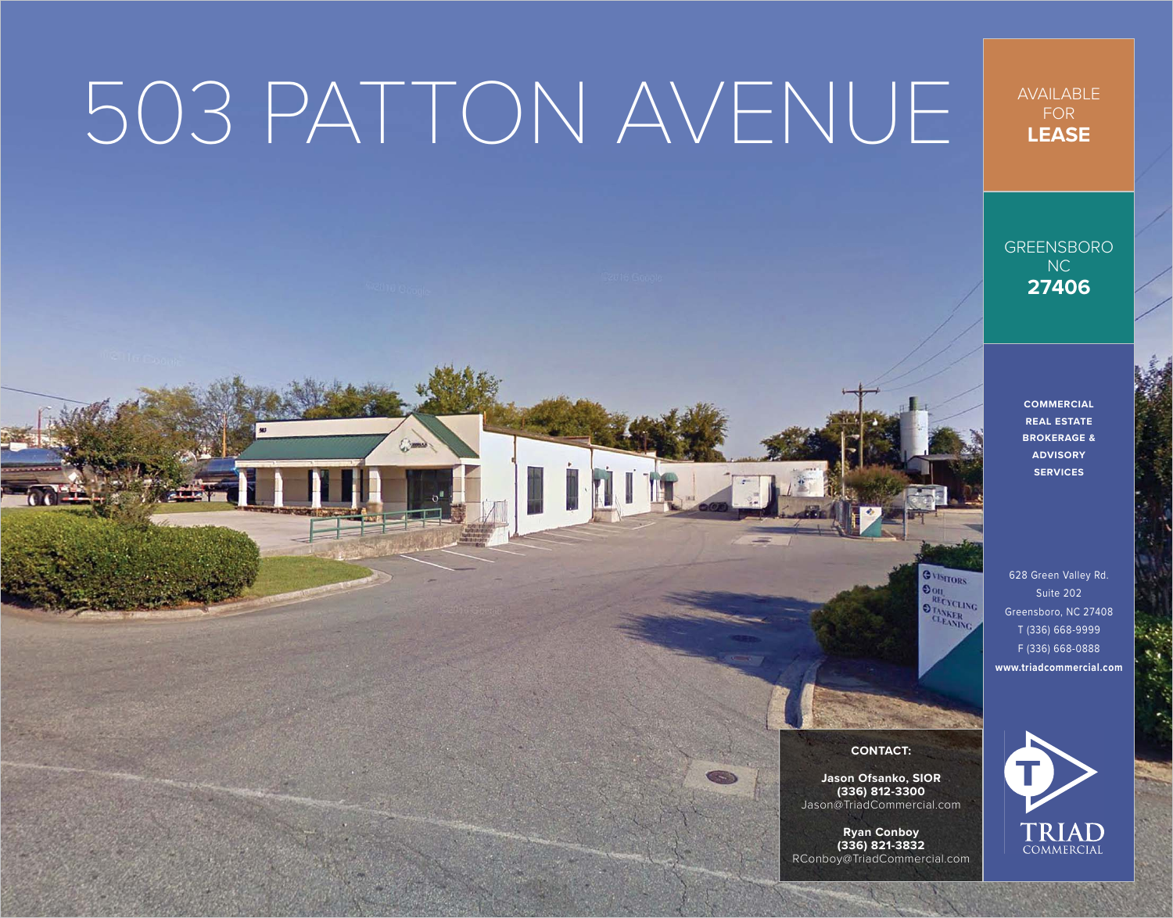## 503 PATTON AVENUE

The

AVAILABLE FOR **LEASE**

GREENSBORO NC **27406**

> **COMMERCIAL REAL ESTATE BROKERAGE & ADVISORY SERVICES**

628 Green Valley Rd. Suite 202 Greensboro, NC 27408 T (336) 668-9999 F (336) 668-0888 **[www.triadcommercial.com](http://www.triadcommercial.com)**



GVISITORS  $\overline{\text{Do}}$ **RECYCLING OTANKER** 

**Jason Ofsanko, SIOR (336) 812-3300** [Jason@TriadCommercial.com](mailto:Jason@TriadCommercial.com)

**Ryan Conboy (336) 821-3832** [RConboy@TriadCommercial.com](mailto:RConboy@TriadCommercial.com)

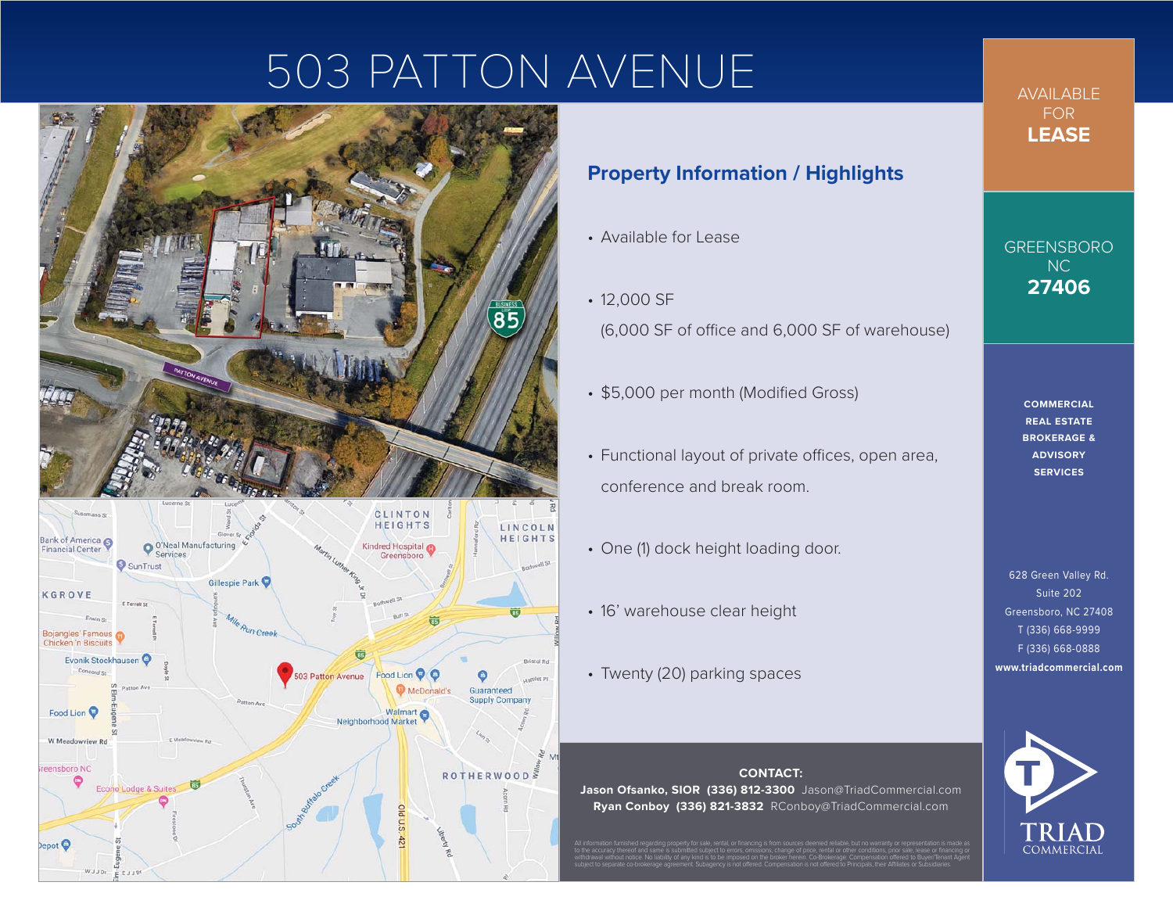## 503 PATTON AVENUE



## **Property Information / Highlights**

- Available for Lease
- 12,000 SF (6,000 SF of office and 6,000 SF of warehouse)
- \$5,000 per month (Modified Gross)
- Functional layout of private offices, open area, conference and break room.
- One (1) dock height loading door.
- 16' warehouse clear height
- Twenty (20) parking spaces

**CONTACT: Jason Ofsanko, SIOR (336) 812-3300** [Jason@TriadCommercial.com](mailto:Jason@TriadCommercial.com) **Ryan Conboy (336) 821-3832** [RConboy@TriadCommercial.com](mailto:RConboy@TriadCommercial.com)

All information furnished regarding property for sale, rental, or financing is from sources deemed reliable, but no warranty or representation is made as to the accuracy thereof and same is submitted subject to errors, omissions, change of price, rental or other conditions, prior sale, lease or financing or withdrawal without notice. No liability of any kind is to be imposed on the broker herein. Co-Brokerage: Compensation offered to Buyer/Tenant Agent subject to separate co-brokerage agreement. Subagency is not offered. Compensation is not offered to Principals, their Affiliates or Subsidiaries.

AVAILABLE FOR **LEASE**

GREENSBORO NC **27406**

> **COMMERCIAL REAL ESTATE BROKERAGE & ADVISORY SERVICES**

628 Green Valley Rd. Suite 202 Greensboro, NC 27408 T (336) 668-9999 F (336) 668-0888 **[www.triadcommercial.com](http://www.triadcommercial.com)**